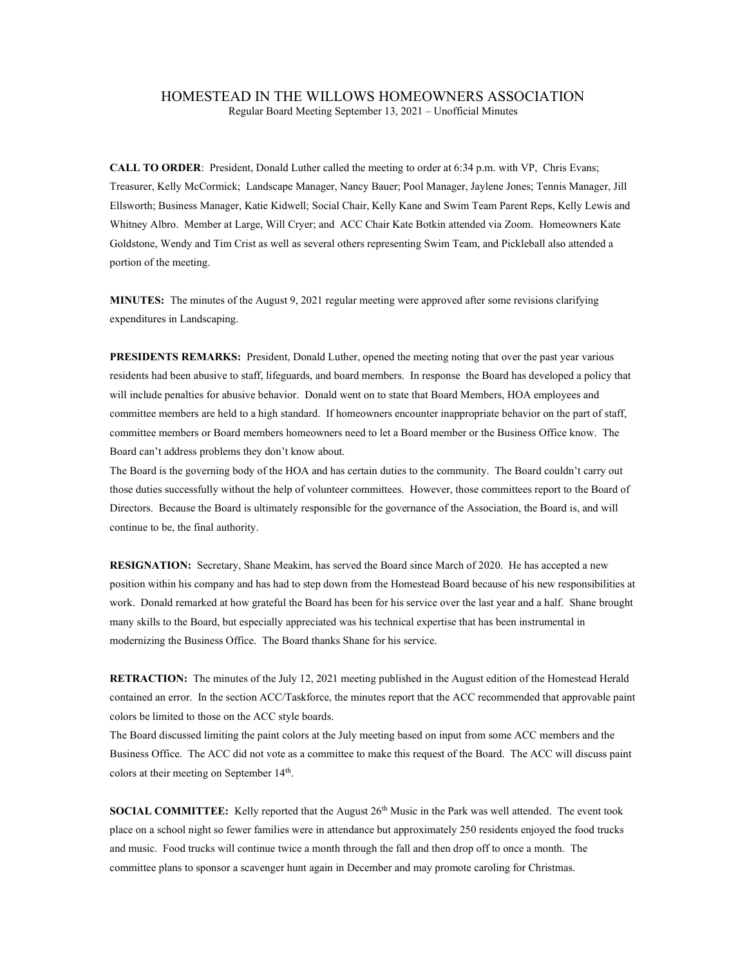## HOMESTEAD IN THE WILLOWS HOMEOWNERS ASSOCIATION

Regular Board Meeting September 13, 2021 – Unofficial Minutes

CALL TO ORDER: President, Donald Luther called the meeting to order at 6:34 p.m. with VP, Chris Evans; Treasurer, Kelly McCormick; Landscape Manager, Nancy Bauer; Pool Manager, Jaylene Jones; Tennis Manager, Jill Ellsworth; Business Manager, Katie Kidwell; Social Chair, Kelly Kane and Swim Team Parent Reps, Kelly Lewis and Whitney Albro. Member at Large, Will Cryer; and ACC Chair Kate Botkin attended via Zoom. Homeowners Kate Goldstone, Wendy and Tim Crist as well as several others representing Swim Team, and Pickleball also attended a portion of the meeting.

MINUTES: The minutes of the August 9, 2021 regular meeting were approved after some revisions clarifying expenditures in Landscaping.

PRESIDENTS REMARKS: President, Donald Luther, opened the meeting noting that over the past year various residents had been abusive to staff, lifeguards, and board members. In response the Board has developed a policy that will include penalties for abusive behavior. Donald went on to state that Board Members, HOA employees and committee members are held to a high standard. If homeowners encounter inappropriate behavior on the part of staff, committee members or Board members homeowners need to let a Board member or the Business Office know. The Board can't address problems they don't know about.

The Board is the governing body of the HOA and has certain duties to the community. The Board couldn't carry out those duties successfully without the help of volunteer committees. However, those committees report to the Board of Directors. Because the Board is ultimately responsible for the governance of the Association, the Board is, and will continue to be, the final authority.

RESIGNATION: Secretary, Shane Meakim, has served the Board since March of 2020. He has accepted a new position within his company and has had to step down from the Homestead Board because of his new responsibilities at work. Donald remarked at how grateful the Board has been for his service over the last year and a half. Shane brought many skills to the Board, but especially appreciated was his technical expertise that has been instrumental in modernizing the Business Office. The Board thanks Shane for his service.

RETRACTION: The minutes of the July 12, 2021 meeting published in the August edition of the Homestead Herald contained an error. In the section ACC/Taskforce, the minutes report that the ACC recommended that approvable paint colors be limited to those on the ACC style boards.

The Board discussed limiting the paint colors at the July meeting based on input from some ACC members and the Business Office. The ACC did not vote as a committee to make this request of the Board. The ACC will discuss paint colors at their meeting on September 14<sup>th</sup>.

**SOCIAL COMMITTEE:** Kelly reported that the August  $26<sup>th</sup>$  Music in the Park was well attended. The event took place on a school night so fewer families were in attendance but approximately 250 residents enjoyed the food trucks and music. Food trucks will continue twice a month through the fall and then drop off to once a month. The committee plans to sponsor a scavenger hunt again in December and may promote caroling for Christmas.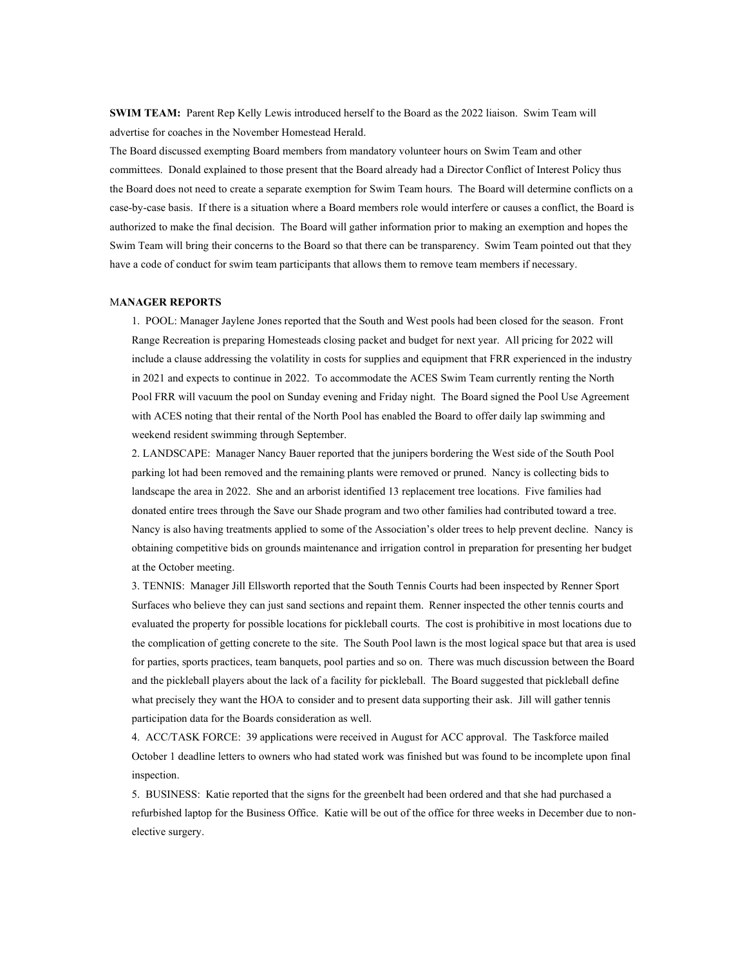SWIM TEAM: Parent Rep Kelly Lewis introduced herself to the Board as the 2022 liaison. Swim Team will advertise for coaches in the November Homestead Herald.

The Board discussed exempting Board members from mandatory volunteer hours on Swim Team and other committees. Donald explained to those present that the Board already had a Director Conflict of Interest Policy thus the Board does not need to create a separate exemption for Swim Team hours. The Board will determine conflicts on a case-by-case basis. If there is a situation where a Board members role would interfere or causes a conflict, the Board is authorized to make the final decision. The Board will gather information prior to making an exemption and hopes the Swim Team will bring their concerns to the Board so that there can be transparency. Swim Team pointed out that they have a code of conduct for swim team participants that allows them to remove team members if necessary.

## MANAGER REPORTS

1. POOL: Manager Jaylene Jones reported that the South and West pools had been closed for the season. Front Range Recreation is preparing Homesteads closing packet and budget for next year. All pricing for 2022 will include a clause addressing the volatility in costs for supplies and equipment that FRR experienced in the industry in 2021 and expects to continue in 2022. To accommodate the ACES Swim Team currently renting the North Pool FRR will vacuum the pool on Sunday evening and Friday night. The Board signed the Pool Use Agreement with ACES noting that their rental of the North Pool has enabled the Board to offer daily lap swimming and weekend resident swimming through September.

2. LANDSCAPE: Manager Nancy Bauer reported that the junipers bordering the West side of the South Pool parking lot had been removed and the remaining plants were removed or pruned. Nancy is collecting bids to landscape the area in 2022. She and an arborist identified 13 replacement tree locations. Five families had donated entire trees through the Save our Shade program and two other families had contributed toward a tree. Nancy is also having treatments applied to some of the Association's older trees to help prevent decline. Nancy is obtaining competitive bids on grounds maintenance and irrigation control in preparation for presenting her budget at the October meeting.

3. TENNIS: Manager Jill Ellsworth reported that the South Tennis Courts had been inspected by Renner Sport Surfaces who believe they can just sand sections and repaint them. Renner inspected the other tennis courts and evaluated the property for possible locations for pickleball courts. The cost is prohibitive in most locations due to the complication of getting concrete to the site. The South Pool lawn is the most logical space but that area is used for parties, sports practices, team banquets, pool parties and so on. There was much discussion between the Board and the pickleball players about the lack of a facility for pickleball. The Board suggested that pickleball define what precisely they want the HOA to consider and to present data supporting their ask. Jill will gather tennis participation data for the Boards consideration as well.

4. ACC/TASK FORCE: 39 applications were received in August for ACC approval. The Taskforce mailed October 1 deadline letters to owners who had stated work was finished but was found to be incomplete upon final inspection.

5. BUSINESS: Katie reported that the signs for the greenbelt had been ordered and that she had purchased a refurbished laptop for the Business Office. Katie will be out of the office for three weeks in December due to nonelective surgery.